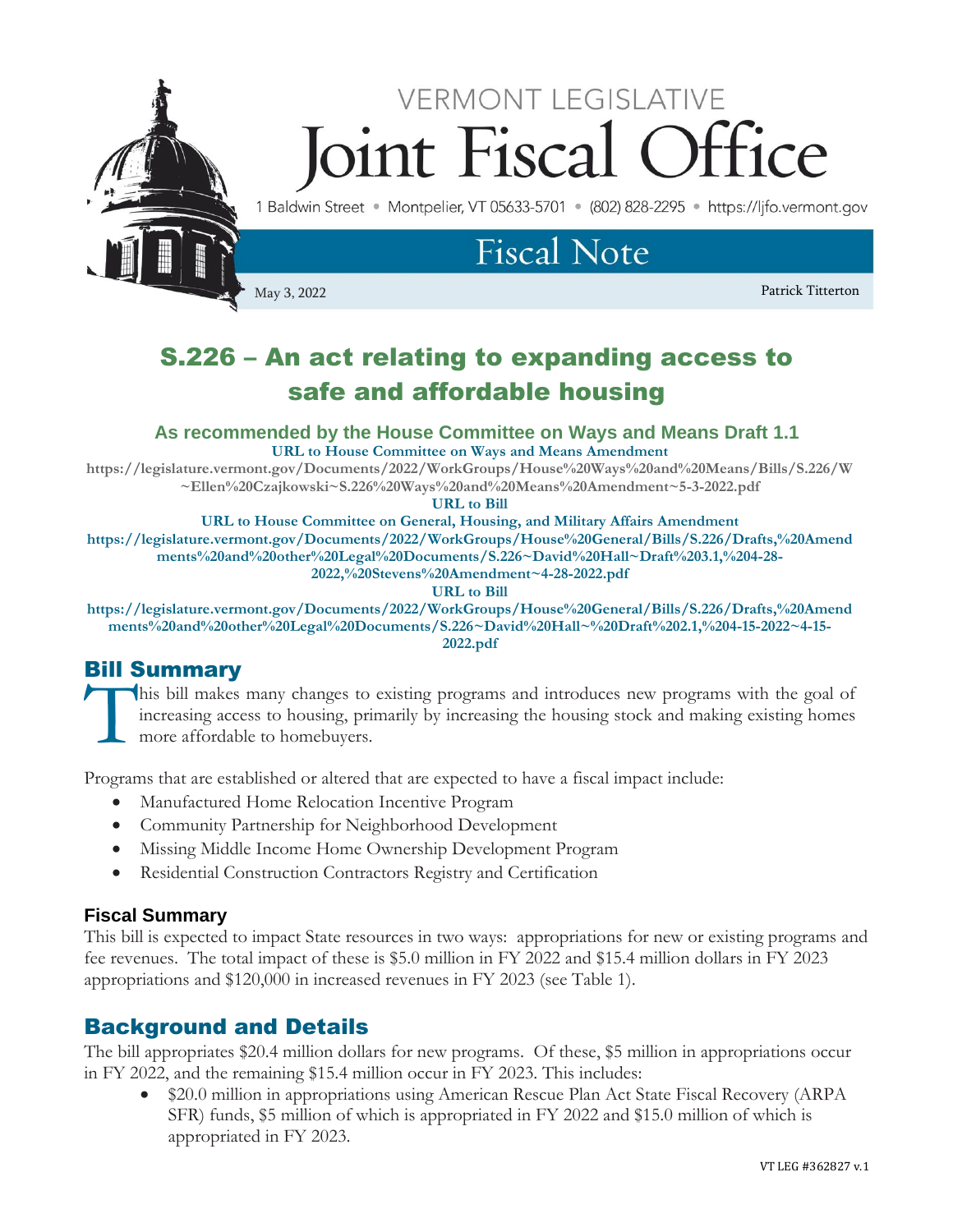

# S.226 – An act relating to expanding access to safe and affordable housing

**As recommended by the House Committee on Ways and Means Draft 1.1 URL to House Committee on Ways and Means Amendment**

**[https://legislature.vermont.gov/Documents/2022/WorkGroups/House%20Ways%20and%20Means/Bills/S.226/W](https://legislature.vermont.gov/Documents/2022/WorkGroups/House%20Ways%20and%20Means/Bills/S.226/W~Ellen%20Czajkowski~S.226%20Ways%20and%20Means%20Amendment~5-3-2022.pdf) [~Ellen%20Czajkowski~S.226%20Ways%20and%20Means%20Amendment~5-3-2022.pdf](https://legislature.vermont.gov/Documents/2022/WorkGroups/House%20Ways%20and%20Means/Bills/S.226/W~Ellen%20Czajkowski~S.226%20Ways%20and%20Means%20Amendment~5-3-2022.pdf)**

**URL to Bill**

**URL to House Committee on General, Housing, and Military Affairs Amendment https://legislature.vermont.gov/Documents/2022/WorkGroups/House%20General/Bills/S.226/Drafts,%20Amend ments%20and%20other%20Legal%20Documents/S.226~David%20Hall~Draft%203.1,%204-28- 2022,%20Stevens%20Amendment~4-28-2022.pdf**

#### **URL to Bill**

**https://legislature.vermont.gov/Documents/2022/WorkGroups/House%20General/Bills/S.226/Drafts,%20Amend ments%20and%20other%20Legal%20Documents/S.226~David%20Hall~%20Draft%202.1,%204-15-2022~4-15- 2022.pdf**

# Bill Summary

his bill makes many changes to existing programs and introduces new programs with the goal of increasing access to housing, primarily by increasing the housing stock and making existing homes more affordable to homebuyers. **T** 

Programs that are established or altered that are expected to have a fiscal impact include:

- Manufactured Home Relocation Incentive Program
- Community Partnership for Neighborhood Development
- Missing Middle Income Home Ownership Development Program
- Residential Construction Contractors Registry and Certification

## **Fiscal Summary**

This bill is expected to impact State resources in two ways: appropriations for new or existing programs and fee revenues. The total impact of these is \$5.0 million in FY 2022 and \$15.4 million dollars in FY 2023 appropriations and \$120,000 in increased revenues in FY 2023 (see Table 1).

# Background and Details

The bill appropriates \$20.4 million dollars for new programs. Of these, \$5 million in appropriations occur in FY 2022, and the remaining \$15.4 million occur in FY 2023. This includes:

• \$20.0 million in appropriations using American Rescue Plan Act State Fiscal Recovery (ARPA SFR) funds, \$5 million of which is appropriated in FY 2022 and \$15.0 million of which is appropriated in FY 2023.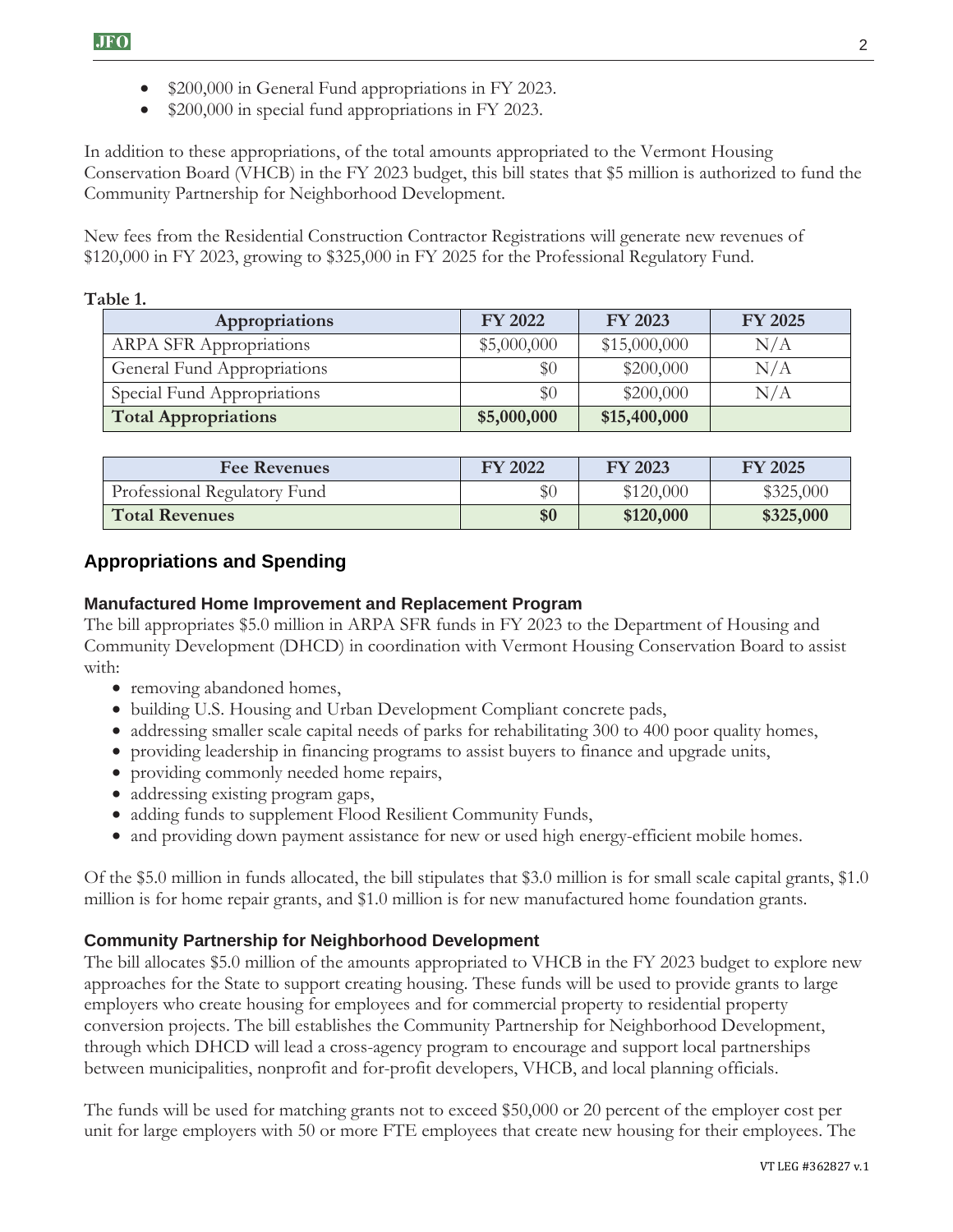- \$200,000 in General Fund appropriations in FY 2023.
- \$200,000 in special fund appropriations in FY 2023.

In addition to these appropriations, of the total amounts appropriated to the Vermont Housing Conservation Board (VHCB) in the FY 2023 budget, this bill states that \$5 million is authorized to fund the Community Partnership for Neighborhood Development.

New fees from the Residential Construction Contractor Registrations will generate new revenues of \$120,000 in FY 2023, growing to \$325,000 in FY 2025 for the Professional Regulatory Fund.

#### **Table 1.**

| Appropriations                 | <b>FY 2022</b> | FY 2023      | FY 2025   |
|--------------------------------|----------------|--------------|-----------|
| <b>ARPA SFR Appropriations</b> | \$5,000,000    | \$15,000,000 | N/A       |
| General Fund Appropriations    | $\$0$          | \$200,000    | N/A       |
| Special Fund Appropriations    | $\$0$          | \$200,000    | $\rm N/A$ |
| <b>Total Appropriations</b>    | \$5,000,000    | \$15,400,000 |           |

| <b>Fee Revenues</b>          | <b>FY 2022</b> | FY 2023   | <b>FY 2025</b> |
|------------------------------|----------------|-----------|----------------|
| Professional Regulatory Fund | $\$0$          | \$120,000 | \$325,000      |
| <b>Total Revenues</b>        | \$0            | \$120,000 | \$325,000      |

## **Appropriations and Spending**

#### **Manufactured Home Improvement and Replacement Program**

The bill appropriates \$5.0 million in ARPA SFR funds in FY 2023 to the Department of Housing and Community Development (DHCD) in coordination with Vermont Housing Conservation Board to assist with:

- removing abandoned homes,
- building U.S. Housing and Urban Development Compliant concrete pads,
- addressing smaller scale capital needs of parks for rehabilitating 300 to 400 poor quality homes,
- providing leadership in financing programs to assist buyers to finance and upgrade units,
- providing commonly needed home repairs,
- addressing existing program gaps,
- adding funds to supplement Flood Resilient Community Funds,
- and providing down payment assistance for new or used high energy-efficient mobile homes.

Of the \$5.0 million in funds allocated, the bill stipulates that \$3.0 million is for small scale capital grants, \$1.0 million is for home repair grants, and \$1.0 million is for new manufactured home foundation grants.

#### **Community Partnership for Neighborhood Development**

The bill allocates \$5.0 million of the amounts appropriated to VHCB in the FY 2023 budget to explore new approaches for the State to support creating housing. These funds will be used to provide grants to large employers who create housing for employees and for commercial property to residential property conversion projects. The bill establishes the Community Partnership for Neighborhood Development, through which DHCD will lead a cross-agency program to encourage and support local partnerships between municipalities, nonprofit and for-profit developers, VHCB, and local planning officials.

The funds will be used for matching grants not to exceed \$50,000 or 20 percent of the employer cost per unit for large employers with 50 or more FTE employees that create new housing for their employees. The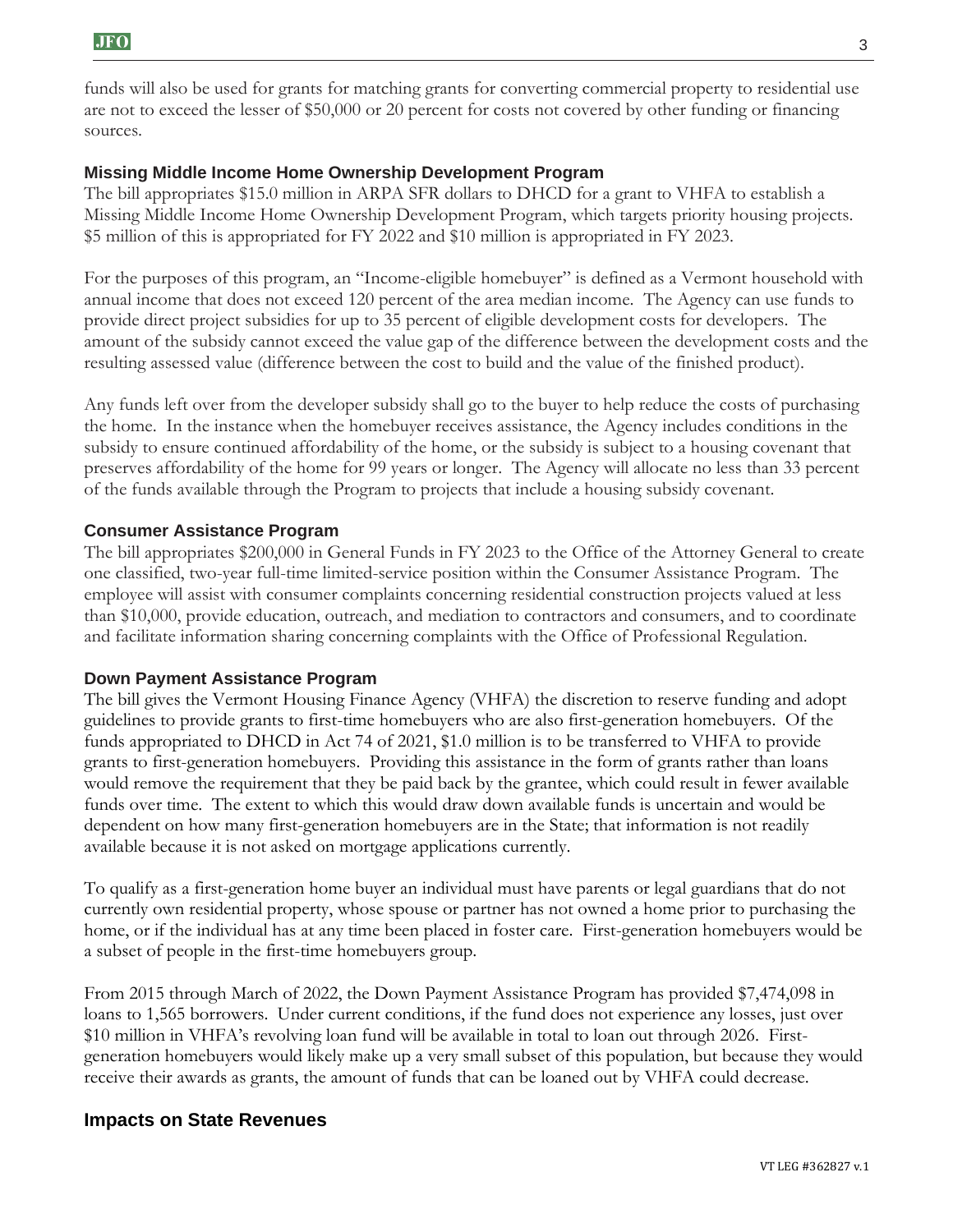funds will also be used for grants for matching grants for converting commercial property to residential use are not to exceed the lesser of \$50,000 or 20 percent for costs not covered by other funding or financing sources.

#### **Missing Middle Income Home Ownership Development Program**

The bill appropriates \$15.0 million in ARPA SFR dollars to DHCD for a grant to VHFA to establish a Missing Middle Income Home Ownership Development Program, which targets priority housing projects. \$5 million of this is appropriated for FY 2022 and \$10 million is appropriated in FY 2023.

For the purposes of this program, an "Income-eligible homebuyer" is defined as a Vermont household with annual income that does not exceed 120 percent of the area median income. The Agency can use funds to provide direct project subsidies for up to 35 percent of eligible development costs for developers. The amount of the subsidy cannot exceed the value gap of the difference between the development costs and the resulting assessed value (difference between the cost to build and the value of the finished product).

Any funds left over from the developer subsidy shall go to the buyer to help reduce the costs of purchasing the home. In the instance when the homebuyer receives assistance, the Agency includes conditions in the subsidy to ensure continued affordability of the home, or the subsidy is subject to a housing covenant that preserves affordability of the home for 99 years or longer. The Agency will allocate no less than 33 percent of the funds available through the Program to projects that include a housing subsidy covenant.

#### **Consumer Assistance Program**

The bill appropriates \$200,000 in General Funds in FY 2023 to the Office of the Attorney General to create one classified, two-year full-time limited-service position within the Consumer Assistance Program. The employee will assist with consumer complaints concerning residential construction projects valued at less than \$10,000, provide education, outreach, and mediation to contractors and consumers, and to coordinate and facilitate information sharing concerning complaints with the Office of Professional Regulation.

#### **Down Payment Assistance Program**

The bill gives the Vermont Housing Finance Agency (VHFA) the discretion to reserve funding and adopt guidelines to provide grants to first-time homebuyers who are also first-generation homebuyers. Of the funds appropriated to DHCD in Act 74 of 2021, \$1.0 million is to be transferred to VHFA to provide grants to first-generation homebuyers. Providing this assistance in the form of grants rather than loans would remove the requirement that they be paid back by the grantee, which could result in fewer available funds over time. The extent to which this would draw down available funds is uncertain and would be dependent on how many first-generation homebuyers are in the State; that information is not readily available because it is not asked on mortgage applications currently.

To qualify as a first-generation home buyer an individual must have parents or legal guardians that do not currently own residential property, whose spouse or partner has not owned a home prior to purchasing the home, or if the individual has at any time been placed in foster care. First-generation homebuyers would be a subset of people in the first-time homebuyers group.

From 2015 through March of 2022, the Down Payment Assistance Program has provided \$7,474,098 in loans to 1,565 borrowers. Under current conditions, if the fund does not experience any losses, just over \$10 million in VHFA's revolving loan fund will be available in total to loan out through 2026. Firstgeneration homebuyers would likely make up a very small subset of this population, but because they would receive their awards as grants, the amount of funds that can be loaned out by VHFA could decrease.

#### **Impacts on State Revenues**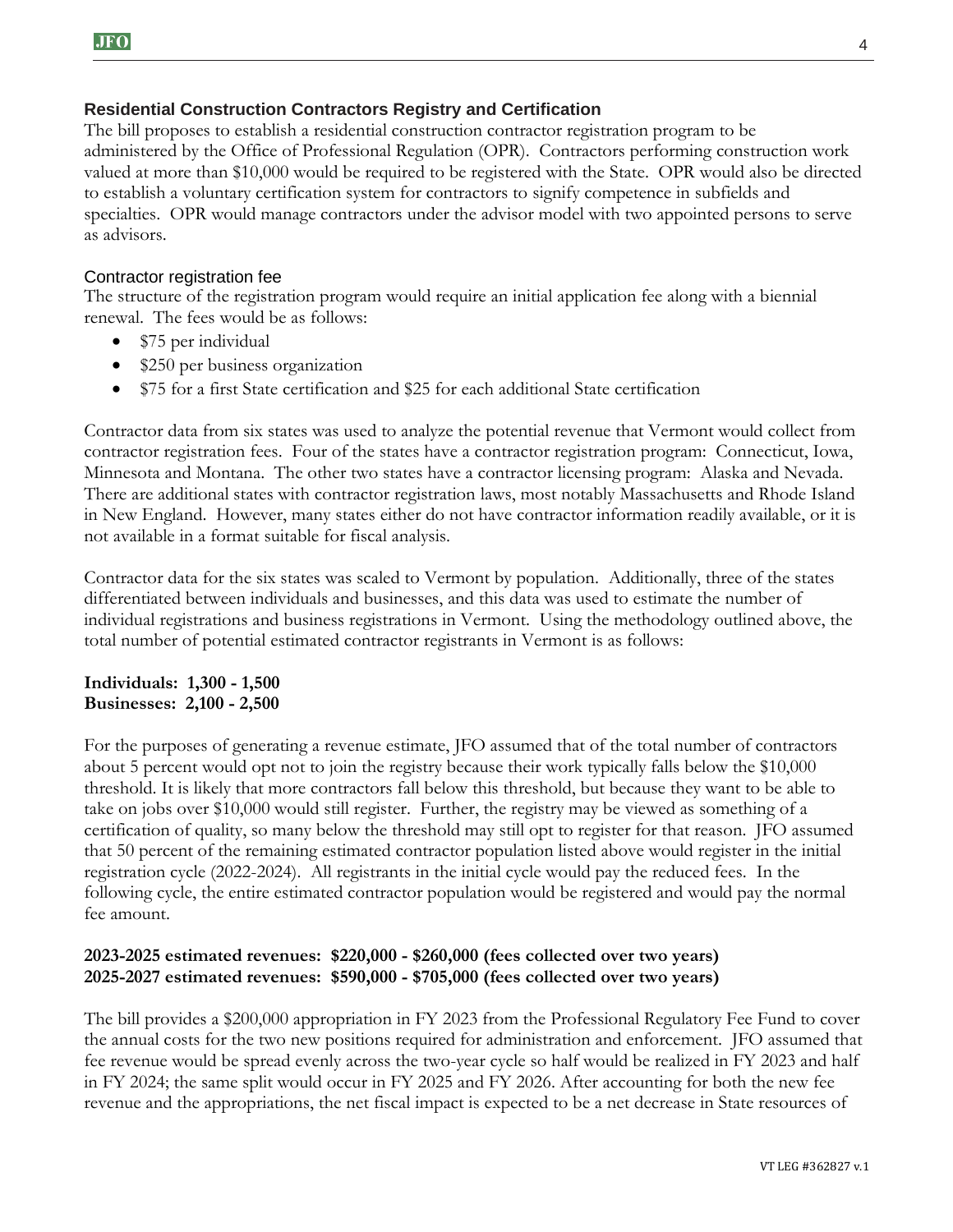#### **Residential Construction Contractors Registry and Certification**

The bill proposes to establish a residential construction contractor registration program to be administered by the Office of Professional Regulation (OPR). Contractors performing construction work valued at more than \$10,000 would be required to be registered with the State. OPR would also be directed to establish a voluntary certification system for contractors to signify competence in subfields and specialties. OPR would manage contractors under the advisor model with two appointed persons to serve as advisors.

#### Contractor registration fee

The structure of the registration program would require an initial application fee along with a biennial renewal. The fees would be as follows:

- \$75 per individual
- \$250 per business organization
- \$75 for a first State certification and \$25 for each additional State certification

Contractor data from six states was used to analyze the potential revenue that Vermont would collect from contractor registration fees. Four of the states have a contractor registration program: Connecticut, Iowa, Minnesota and Montana. The other two states have a contractor licensing program: Alaska and Nevada. There are additional states with contractor registration laws, most notably Massachusetts and Rhode Island in New England. However, many states either do not have contractor information readily available, or it is not available in a format suitable for fiscal analysis.

Contractor data for the six states was scaled to Vermont by population. Additionally, three of the states differentiated between individuals and businesses, and this data was used to estimate the number of individual registrations and business registrations in Vermont. Using the methodology outlined above, the total number of potential estimated contractor registrants in Vermont is as follows:

#### **Individuals: 1,300 - 1,500 Businesses: 2,100 - 2,500**

For the purposes of generating a revenue estimate, JFO assumed that of the total number of contractors about 5 percent would opt not to join the registry because their work typically falls below the \$10,000 threshold. It is likely that more contractors fall below this threshold, but because they want to be able to take on jobs over \$10,000 would still register. Further, the registry may be viewed as something of a certification of quality, so many below the threshold may still opt to register for that reason. JFO assumed that 50 percent of the remaining estimated contractor population listed above would register in the initial registration cycle (2022-2024). All registrants in the initial cycle would pay the reduced fees. In the following cycle, the entire estimated contractor population would be registered and would pay the normal fee amount.

#### **2023-2025 estimated revenues: \$220,000 - \$260,000 (fees collected over two years) 2025-2027 estimated revenues: \$590,000 - \$705,000 (fees collected over two years)**

The bill provides a \$200,000 appropriation in FY 2023 from the Professional Regulatory Fee Fund to cover the annual costs for the two new positions required for administration and enforcement. JFO assumed that fee revenue would be spread evenly across the two-year cycle so half would be realized in FY 2023 and half in FY 2024; the same split would occur in FY 2025 and FY 2026. After accounting for both the new fee revenue and the appropriations, the net fiscal impact is expected to be a net decrease in State resources of